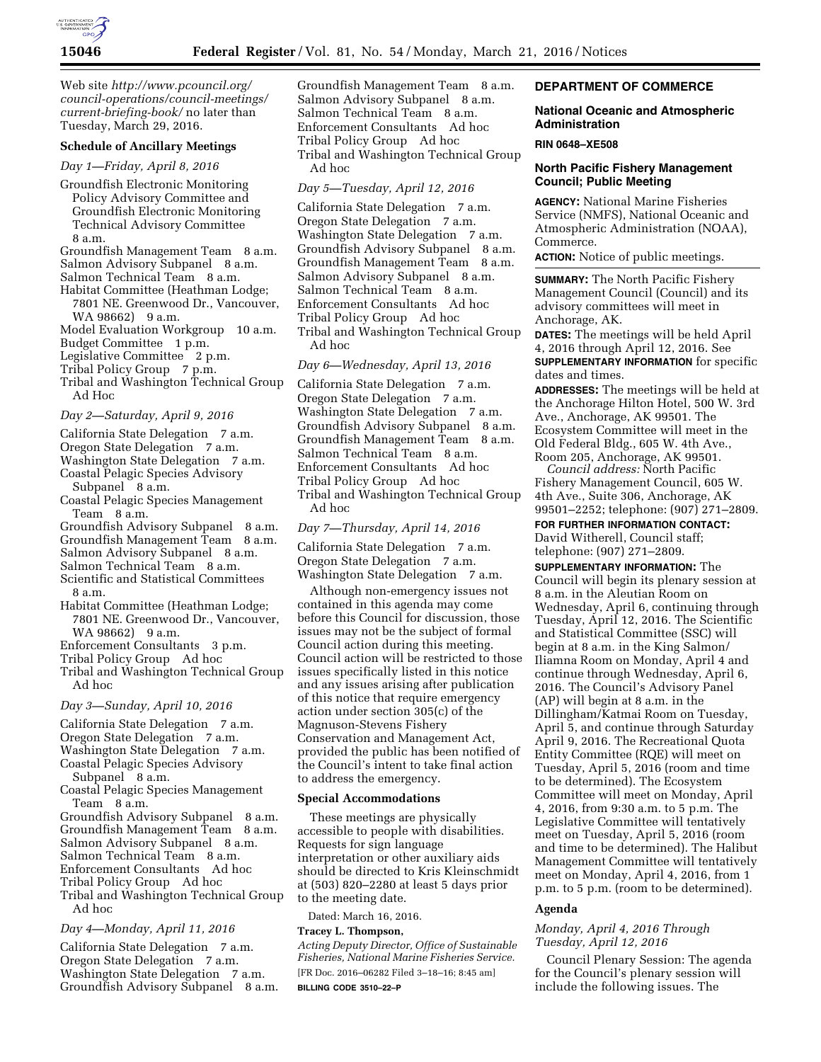

Web site *[http://www.pcouncil.org/](http://www.pcouncil.org/council-operations/council-meetings/current-briefing-book/) [council-operations/council-meetings/](http://www.pcouncil.org/council-operations/council-meetings/current-briefing-book/) [current-briefing-book/](http://www.pcouncil.org/council-operations/council-meetings/current-briefing-book/)* no later than Tuesday, March 29, 2016.

# **Schedule of Ancillary Meetings**

*Day 1—Friday, April 8, 2016* 

Groundfish Electronic Monitoring Policy Advisory Committee and Groundfish Electronic Monitoring Technical Advisory Committee 8 a.m.

Groundfish Management Team 8 a.m. Salmon Advisory Subpanel 8 a.m. Salmon Technical Team 8 a.m.

- Habitat Committee (Heathman Lodge;
- 7801 NE. Greenwood Dr., Vancouver, WA 98662) 9 a.m.

Model Evaluation Workgroup 10 a.m.

Budget Committee 1 p.m.

Legislative Committee 2 p.m.

Tribal Policy Group 7 p.m.

Tribal and Washington Technical Group Ad Hoc

#### *Day 2—Saturday, April 9, 2016*

- California State Delegation 7 a.m.
- Oregon State Delegation 7 a.m.
- Washington State Delegation 7 a.m. Coastal Pelagic Species Advisory
- Subpanel 8 a.m.
- Coastal Pelagic Species Management Team 8 a.m.

Groundfish Advisory Subpanel 8 a.m. Groundfish Management Team 8 a.m. Salmon Advisory Subpanel 8 a.m.

Salmon Technical Team 8 a.m.

- Scientific and Statistical Committees
- 8 a.m.
- Habitat Committee (Heathman Lodge; 7801 NE. Greenwood Dr., Vancouver, WA 98662) 9 a.m.
- Enforcement Consultants 3 p.m.
- Tribal Policy Group Ad hoc
- Tribal and Washington Technical Group Ad hoc

## *Day 3—Sunday, April 10, 2016*

California State Delegation 7 a.m. Oregon State Delegation 7 a.m. Washington State Delegation 7 a.m.

Coastal Pelagic Species Advisory Subpanel 8 a.m.

Coastal Pelagic Species Management Team 8 a.m.

Groundfish Advisory Subpanel 8 a.m. Groundfish Management Team 8 a.m. Salmon Advisory Subpanel 8 a.m. Salmon Technical Team 8 a.m. Enforcement Consultants Ad hoc Tribal Policy Group Ad hoc

Tribal and Washington Technical Group Ad hoc

### *Day 4—Monday, April 11, 2016*

California State Delegation 7 a.m. Oregon State Delegation 7 a.m. Washington State Delegation 7 a.m. Groundfish Advisory Subpanel 8 a.m. Groundfish Management Team 8 a.m. Salmon Advisory Subpanel 8 a.m. Salmon Technical Team 8 a.m. Enforcement Consultants Ad hoc Tribal Policy Group Ad hoc Tribal and Washington Technical Group Ad hoc

## *Day 5—Tuesday, April 12, 2016*

California State Delegation 7 a.m. Oregon State Delegation 7 a.m. Washington State Delegation 7 a.m. Groundfish Advisory Subpanel 8 a.m. Groundfish Management Team 8 a.m. Salmon Advisory Subpanel 8 a.m. Salmon Technical Team 8 a.m. Enforcement Consultants Ad hoc Tribal Policy Group Ad hoc Tribal and Washington Technical Group Ad hoc

*Day 6—Wednesday, April 13, 2016* 

California State Delegation 7 a.m. Oregon State Delegation 7 a.m. Washington State Delegation 7 a.m. Groundfish Advisory Subpanel 8 a.m. Groundfish Management Team 8 a.m. Salmon Technical Team 8 a.m. Enforcement Consultants Ad hoc Tribal Policy Group Ad hoc Tribal and Washington Technical Group Ad hoc

### *Day 7—Thursday, April 14, 2016*

California State Delegation 7 a.m. Oregon State Delegation 7 a.m. Washington State Delegation 7 a.m.

Although non-emergency issues not contained in this agenda may come before this Council for discussion, those issues may not be the subject of formal Council action during this meeting. Council action will be restricted to those issues specifically listed in this notice and any issues arising after publication of this notice that require emergency action under section 305(c) of the Magnuson-Stevens Fishery Conservation and Management Act, provided the public has been notified of the Council's intent to take final action to address the emergency.

#### **Special Accommodations**

These meetings are physically accessible to people with disabilities. Requests for sign language interpretation or other auxiliary aids should be directed to Kris Kleinschmidt at (503) 820–2280 at least 5 days prior to the meeting date.

Dated: March 16, 2016.

# **Tracey L. Thompson,**

*Acting Deputy Director, Office of Sustainable Fisheries, National Marine Fisheries Service.*  [FR Doc. 2016–06282 Filed 3–18–16; 8:45 am] **BILLING CODE 3510–22–P** 

# **DEPARTMENT OF COMMERCE**

### **National Oceanic and Atmospheric Administration**

#### **RIN 0648–XE508**

# **North Pacific Fishery Management Council; Public Meeting**

**AGENCY:** National Marine Fisheries Service (NMFS), National Oceanic and Atmospheric Administration (NOAA), Commerce.

**ACTION:** Notice of public meetings.

**SUMMARY:** The North Pacific Fishery Management Council (Council) and its advisory committees will meet in Anchorage, AK.

**DATES:** The meetings will be held April 4, 2016 through April 12, 2016. See **SUPPLEMENTARY INFORMATION** for specific dates and times.

**ADDRESSES:** The meetings will be held at the Anchorage Hilton Hotel, 500 W. 3rd Ave., Anchorage, AK 99501. The Ecosystem Committee will meet in the Old Federal Bldg., 605 W. 4th Ave., Room 205, Anchorage, AK 99501.

*Council address:* North Pacific Fishery Management Council, 605 W. 4th Ave., Suite 306, Anchorage, AK 99501–2252; telephone: (907) 271–2809.

### **FOR FURTHER INFORMATION CONTACT:**

David Witherell, Council staff; telephone: (907) 271–2809.

**SUPPLEMENTARY INFORMATION:** The Council will begin its plenary session at 8 a.m. in the Aleutian Room on Wednesday, April 6, continuing through Tuesday, April 12, 2016. The Scientific and Statistical Committee (SSC) will begin at 8 a.m. in the King Salmon/ Iliamna Room on Monday, April 4 and continue through Wednesday, April 6, 2016. The Council's Advisory Panel (AP) will begin at 8 a.m. in the Dillingham/Katmai Room on Tuesday, April 5, and continue through Saturday April 9, 2016. The Recreational Quota Entity Committee (RQE) will meet on Tuesday, April 5, 2016 (room and time to be determined). The Ecosystem Committee will meet on Monday, April 4, 2016, from 9:30 a.m. to 5 p.m. The Legislative Committee will tentatively meet on Tuesday, April 5, 2016 (room and time to be determined). The Halibut Management Committee will tentatively meet on Monday, April 4, 2016, from 1 p.m. to 5 p.m. (room to be determined).

# **Agenda**

## *Monday, April 4, 2016 Through Tuesday, April 12, 2016*

Council Plenary Session: The agenda for the Council's plenary session will include the following issues. The